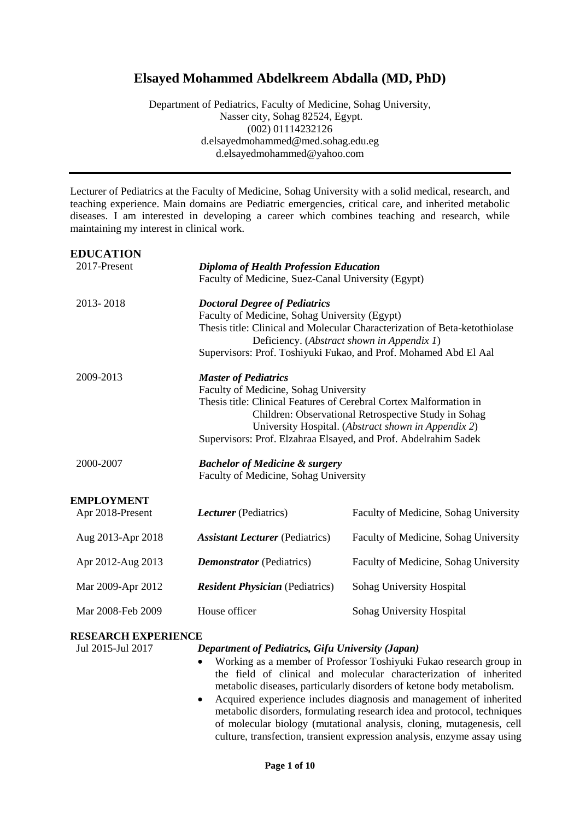# **Elsayed Mohammed Abdelkreem Abdalla (MD, PhD)**

Department of Pediatrics, Faculty of Medicine, Sohag University, Nasser city, Sohag 82524, Egypt. (002) 01114232126 d.elsayedmohammed@med.sohag.edu.eg d.elsayedmohammed@yahoo.com

Lecturer of Pediatrics at the Faculty of Medicine, Sohag University with a solid medical, research, and teaching experience. Main domains are Pediatric emergencies, critical care, and inherited metabolic diseases. I am interested in developing a career which combines teaching and research, while maintaining my interest in clinical work.

| <b>EDUCATION</b>  |                                                                    |                                                                            |  |
|-------------------|--------------------------------------------------------------------|----------------------------------------------------------------------------|--|
| 2017-Present      | <b>Diploma of Health Profession Education</b>                      |                                                                            |  |
|                   | Faculty of Medicine, Suez-Canal University (Egypt)                 |                                                                            |  |
| 2013-2018         | <b>Doctoral Degree of Pediatrics</b>                               |                                                                            |  |
|                   | Faculty of Medicine, Sohag University (Egypt)                      |                                                                            |  |
|                   |                                                                    | Thesis title: Clinical and Molecular Characterization of Beta-ketothiolase |  |
|                   | Deficiency. (Abstract shown in Appendix 1)                         |                                                                            |  |
|                   |                                                                    | Supervisors: Prof. Toshiyuki Fukao, and Prof. Mohamed Abd El Aal           |  |
| 2009-2013         | <b>Master of Pediatrics</b>                                        |                                                                            |  |
|                   | Faculty of Medicine, Sohag University                              |                                                                            |  |
|                   | Thesis title: Clinical Features of Cerebral Cortex Malformation in |                                                                            |  |
|                   | Children: Observational Retrospective Study in Sohag               |                                                                            |  |
|                   | University Hospital. (Abstract shown in Appendix 2)                |                                                                            |  |
|                   | Supervisors: Prof. Elzahraa Elsayed, and Prof. Abdelrahim Sadek    |                                                                            |  |
| 2000-2007         | <b>Bachelor of Medicine &amp; surgery</b>                          |                                                                            |  |
|                   | Faculty of Medicine, Sohag University                              |                                                                            |  |
| EMPLOYMENT        |                                                                    |                                                                            |  |
| Apr 2018-Present  | <i>Lecturer</i> (Pediatrics)                                       | Faculty of Medicine, Sohag University                                      |  |
| Aug 2013-Apr 2018 | <b>Assistant Lecturer</b> (Pediatrics)                             | Faculty of Medicine, Sohag University                                      |  |
|                   |                                                                    |                                                                            |  |
| Apr 2012-Aug 2013 | <b>Demonstrator</b> (Pediatrics)                                   | Faculty of Medicine, Sohag University                                      |  |
| Mar 2009-Apr 2012 | <b>Resident Physician</b> (Pediatrics)                             | Sohag University Hospital                                                  |  |
| Mar 2008-Feb 2009 | House officer                                                      | Sohag University Hospital                                                  |  |
|                   |                                                                    |                                                                            |  |
|                   |                                                                    |                                                                            |  |

## **RESEARCH EXPERIENCE**

## Jul 2015-Jul 2017 *Department of Pediatrics, Gifu University (Japan)*

- Working as a member of Professor Toshiyuki Fukao research group in the field of clinical and molecular characterization of inherited metabolic diseases, particularly disorders of ketone body metabolism.
- Acquired experience includes diagnosis and management of inherited metabolic disorders, formulating research idea and protocol, techniques of molecular biology (mutational analysis, cloning, mutagenesis, cell culture, transfection, transient expression analysis, enzyme assay using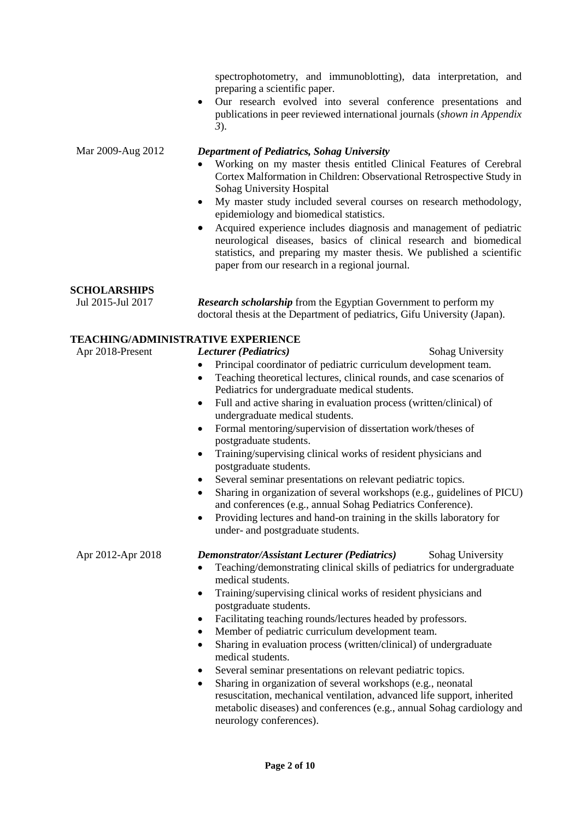spectrophotometry, and immunoblotting), data interpretation, and preparing a scientific paper.

 Our research evolved into several conference presentations and publications in peer reviewed international journals (*shown in Appendix 3*).

## Mar 2009-Aug 2012 *Department of Pediatrics, Sohag University*

- Working on my master thesis entitled Clinical Features of Cerebral Cortex Malformation in Children: Observational Retrospective Study in Sohag University Hospital
- My master study included several courses on research methodology, epidemiology and biomedical statistics.
- Acquired experience includes diagnosis and management of pediatric neurological diseases, basics of clinical research and biomedical statistics, and preparing my master thesis. We published a scientific paper from our research in a regional journal.

## **SCHOLARSHIPS**

Jul 2015-Jul 2017 *Research scholarship* from the Egyptian Government to perform my doctoral thesis at the Department of pediatrics, Gifu University (Japan).

## **TEACHING/ADMINISTRATIVE EXPERIENCE**

## Apr 2018-Present *Lecturer (Pediatrics)* Sohag University

- Principal coordinator of pediatric curriculum development team.
- Teaching theoretical lectures, clinical rounds, and case scenarios of Pediatrics for undergraduate medical students.
- Full and active sharing in evaluation process (written/clinical) of undergraduate medical students.
- Formal mentoring/supervision of dissertation work/theses of postgraduate students.
- Training/supervising clinical works of resident physicians and postgraduate students.
- Several seminar presentations on relevant pediatric topics.
- Sharing in organization of several workshops (e.g., guidelines of PICU) and conferences (e.g., annual Sohag Pediatrics Conference).
- Providing lectures and hand-on training in the skills laboratory for under- and postgraduate students.

## Apr 2012-Apr 2018 *Demonstrator/Assistant Lecturer (Pediatrics)* Sohag University

- Teaching/demonstrating clinical skills of pediatrics for undergraduate medical students.
- Training/supervising clinical works of resident physicians and postgraduate students.
- Facilitating teaching rounds/lectures headed by professors.
- Member of pediatric curriculum development team.
- Sharing in evaluation process (written/clinical) of undergraduate medical students.
- Several seminar presentations on relevant pediatric topics.
- Sharing in organization of several workshops (e.g., neonatal resuscitation, mechanical ventilation, advanced life support, inherited metabolic diseases) and conferences (e.g., annual Sohag cardiology and neurology conferences).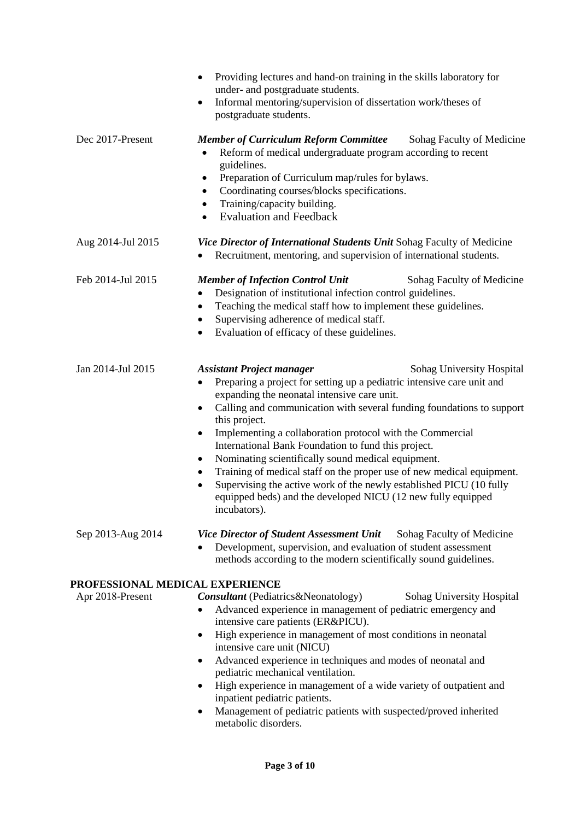|                                                     | Providing lectures and hand-on training in the skills laboratory for<br>$\bullet$<br>under- and postgraduate students.<br>Informal mentoring/supervision of dissertation work/theses of<br>$\bullet$<br>postgraduate students.                                                                                                                                                                                                                                                                                                                                                                                                                                                                                                      |  |  |
|-----------------------------------------------------|-------------------------------------------------------------------------------------------------------------------------------------------------------------------------------------------------------------------------------------------------------------------------------------------------------------------------------------------------------------------------------------------------------------------------------------------------------------------------------------------------------------------------------------------------------------------------------------------------------------------------------------------------------------------------------------------------------------------------------------|--|--|
| Dec 2017-Present                                    | <b>Member of Curriculum Reform Committee</b><br>Sohag Faculty of Medicine<br>Reform of medical undergraduate program according to recent<br>$\bullet$<br>guidelines.<br>Preparation of Curriculum map/rules for bylaws.<br>٠<br>Coordinating courses/blocks specifications.<br>٠<br>Training/capacity building.<br>٠<br><b>Evaluation and Feedback</b><br>$\bullet$                                                                                                                                                                                                                                                                                                                                                                 |  |  |
| Aug 2014-Jul 2015                                   | Vice Director of International Students Unit Sohag Faculty of Medicine<br>Recruitment, mentoring, and supervision of international students.                                                                                                                                                                                                                                                                                                                                                                                                                                                                                                                                                                                        |  |  |
| Feb 2014-Jul 2015                                   | <b>Member of Infection Control Unit</b><br>Sohag Faculty of Medicine<br>Designation of institutional infection control guidelines.<br>٠<br>Teaching the medical staff how to implement these guidelines.<br>$\bullet$<br>Supervising adherence of medical staff.<br>Evaluation of efficacy of these guidelines.<br>٠                                                                                                                                                                                                                                                                                                                                                                                                                |  |  |
| Jan 2014-Jul 2015                                   | <b>Assistant Project manager</b><br>Sohag University Hospital<br>Preparing a project for setting up a pediatric intensive care unit and<br>$\bullet$<br>expanding the neonatal intensive care unit.<br>Calling and communication with several funding foundations to support<br>٠<br>this project.<br>Implementing a collaboration protocol with the Commercial<br>$\bullet$<br>International Bank Foundation to fund this project.<br>Nominating scientifically sound medical equipment.<br>٠<br>Training of medical staff on the proper use of new medical equipment.<br>٠<br>Supervising the active work of the newly established PICU (10 fully<br>equipped beds) and the developed NICU (12 new fully equipped<br>incubators). |  |  |
| Sep 2013-Aug 2014                                   | <b>Vice Director of Student Assessment Unit</b><br>Sohag Faculty of Medicine<br>Development, supervision, and evaluation of student assessment<br>methods according to the modern scientifically sound guidelines.                                                                                                                                                                                                                                                                                                                                                                                                                                                                                                                  |  |  |
| PROFESSIONAL MEDICAL EXPERIENCE<br>Apr 2018-Present | <b>Consultant</b> (Pediatrics&Neonatology)<br>Sohag University Hospital<br>Advanced experience in management of pediatric emergency and<br>$\bullet$<br>intensive care patients (ER&PICU).<br>High experience in management of most conditions in neonatal<br>٠<br>intensive care unit (NICU)<br>Advanced experience in techniques and modes of neonatal and<br>٠<br>pediatric mechanical ventilation.<br>High experience in management of a wide variety of outpatient and<br>inpatient pediatric patients.<br>Management of pediatric patients with suspected/proved inherited<br>metabolic disorders.                                                                                                                            |  |  |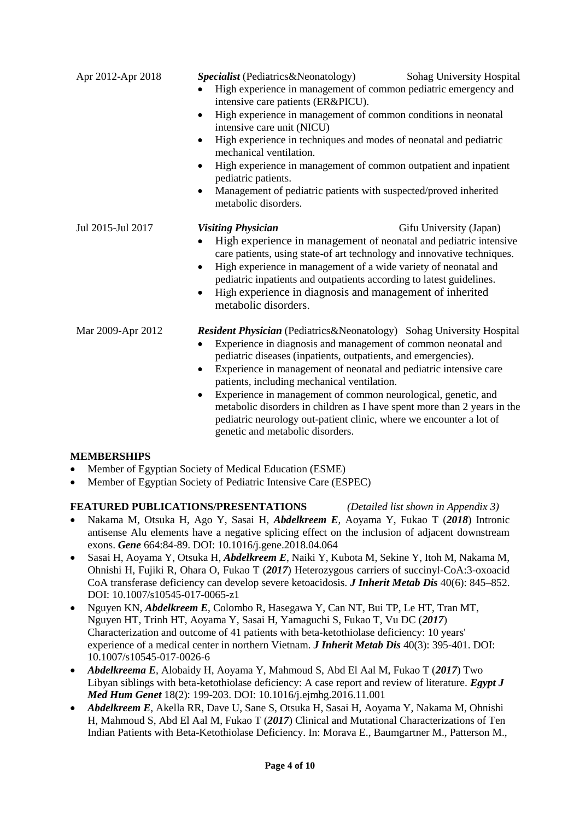| Apr 2012-Apr 2018 | <i>Specialist</i> (Pediatrics&Neonatology)<br>High experience in management of common pediatric emergency and<br>intensive care patients (ER&PICU).<br>High experience in management of common conditions in neonatal<br>intensive care unit (NICU)<br>High experience in techniques and modes of neonatal and pediatric<br>mechanical ventilation.<br>High experience in management of common outpatient and inpatient<br>$\bullet$<br>pediatric patients.<br>Management of pediatric patients with suspected/proved inherited<br>metabolic disorders.                                                  | Sohag University Hospital |
|-------------------|----------------------------------------------------------------------------------------------------------------------------------------------------------------------------------------------------------------------------------------------------------------------------------------------------------------------------------------------------------------------------------------------------------------------------------------------------------------------------------------------------------------------------------------------------------------------------------------------------------|---------------------------|
| Jul 2015-Jul 2017 | <b>Visiting Physician</b><br>High experience in management of neonatal and pediatric intensive<br>care patients, using state-of art technology and innovative techniques.<br>High experience in management of a wide variety of neonatal and<br>pediatric inpatients and outpatients according to latest guidelines.<br>High experience in diagnosis and management of inherited<br>metabolic disorders.                                                                                                                                                                                                 | Gifu University (Japan)   |
| Mar 2009-Apr 2012 | <b>Resident Physician</b> (Pediatrics&Neonatology) Sohag University Hospital<br>Experience in diagnosis and management of common neonatal and<br>pediatric diseases (inpatients, outpatients, and emergencies).<br>Experience in management of neonatal and pediatric intensive care<br>patients, including mechanical ventilation.<br>Experience in management of common neurological, genetic, and<br>$\bullet$<br>metabolic disorders in children as I have spent more than 2 years in the<br>pediatric neurology out-patient clinic, where we encounter a lot of<br>genetic and metabolic disorders. |                           |

## **MEMBERSHIPS**

- Member of Egyptian Society of Medical Education (ESME)
- Member of Egyptian Society of Pediatric Intensive Care (ESPEC)

## **FEATURED PUBLICATIONS/PRESENTATIONS** *(Detailed list shown in Appendix 3)*

- Nakama M, Otsuka H, Ago Y, Sasai H, *Abdelkreem E*, Aoyama Y, Fukao T (*2018*) Intronic antisense Alu elements have a negative splicing effect on the inclusion of adjacent downstream exons. *Gene* 664:84-89. DOI: 10.1016/j.gene.2018.04.064
- Sasai H, Aoyama Y, Otsuka H, *Abdelkreem E*, Naiki Y, Kubota M, Sekine Y, Itoh M, Nakama M, Ohnishi H, Fujiki R, Ohara O, Fukao T (*2017*) Heterozygous carriers of succinyl-CoA:3-oxoacid CoA transferase deficiency can develop severe ketoacidosis. *J Inherit Metab Dis* 40(6): 845–852. DOI: 10.1007/s10545-017-0065-z1
- Nguyen KN, *Abdelkreem E*, Colombo R, Hasegawa Y, Can NT, Bui TP, Le HT, Tran MT, Nguyen HT, Trinh HT, Aoyama Y, Sasai H, Yamaguchi S, Fukao T, Vu DC (*2017*) Characterization and outcome of 41 patients with beta-ketothiolase deficiency: 10 years' experience of a medical center in northern Vietnam. *J Inherit Metab Dis* 40(3): 395-401. DOI: 10.1007/s10545-017-0026-6
- *Abdelkreema E*, Alobaidy H, Aoyama Y, Mahmoud S, Abd El Aal M, Fukao T (*2017*) Two Libyan siblings with beta-ketothiolase deficiency: A case report and review of literature. *Egypt J Med Hum Genet* 18(2): 199-203. DOI: 10.1016/j.ejmhg.2016.11.001
- *Abdelkreem E*, Akella RR, Dave U, Sane S, Otsuka H, Sasai H, Aoyama Y, Nakama M, Ohnishi H, Mahmoud S, Abd El Aal M, Fukao T (*2017*) Clinical and Mutational Characterizations of Ten Indian Patients with Beta-Ketothiolase Deficiency. In: Morava E., Baumgartner M., Patterson M.,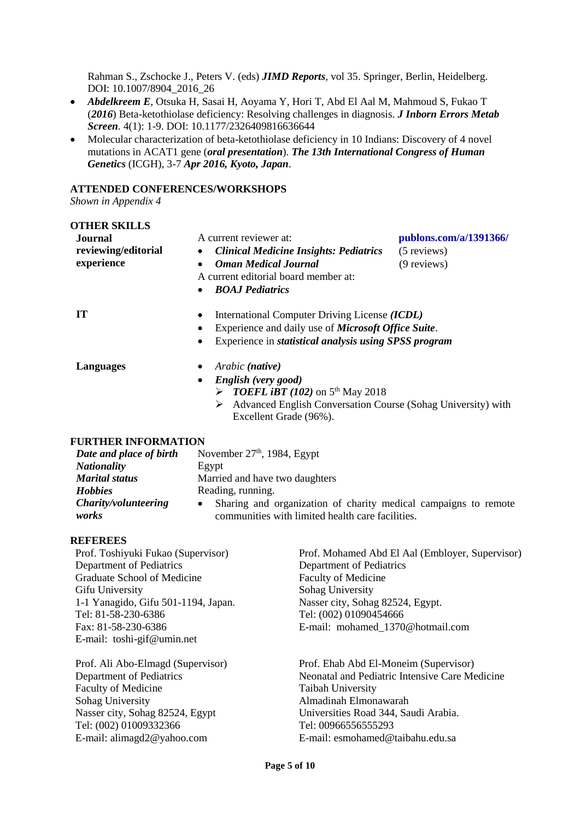Rahman S., Zschocke J., Peters V. (eds) *JIMD Reports*, vol 35. Springer, Berlin, Heidelberg. DOI: 10.1007/8904\_2016\_26

- *Abdelkreem E*, Otsuka H, Sasai H, Aoyama Y, Hori T, Abd El Aal M, Mahmoud S, Fukao T (*2016*) Beta-ketothiolase deficiency: Resolving challenges in diagnosis. *J Inborn Errors Metab Screen.* 4(1): 1-9. DOI: 10.1177/2326409816636644
- Molecular characterization of beta-ketothiolase deficiency in 10 Indians: Discovery of 4 novel mutations in ACAT1 gene (*oral presentation*). *The 13th International Congress of Human Genetics* (ICGH), 3-7 *Apr 2016, Kyoto, Japan*.

#### **ATTENDED CONFERENCES/WORKSHOPS**

*Shown in Appendix 4*

**OTHER SKILLS**

| Journal<br>reviewing/editorial<br>experience | A current reviewer at:<br><b>Clinical Medicine Insights: Pediatrics</b><br>$\bullet$<br><b>Oman Medical Journal</b><br>٠<br>A current editorial board member at:<br><b>BOAJ Pediatrics</b><br>$\bullet$                               | publons.com/a/1391366/<br>(5 reviews)<br>(9 reviews) |
|----------------------------------------------|---------------------------------------------------------------------------------------------------------------------------------------------------------------------------------------------------------------------------------------|------------------------------------------------------|
| <b>IT</b>                                    | International Computer Driving License (ICDL)<br>٠<br>Experience and daily use of <i>Microsoft Office Suite</i> .<br>٠<br>Experience in <i>statistical analysis using SPSS program</i><br>$\bullet$                                   |                                                      |
| <b>Languages</b>                             | Arabic ( <b>native</b> )<br>$\bullet$<br>English (very good)<br>$\bullet$<br><b>FORTH P</b> TO THE T (102) on 5 <sup>th</sup> May 2018<br>Advanced English Conversation Course (Sohag University) with<br>➤<br>Excellent Grade (96%). |                                                      |

## **FURTHER INFORMATION**

| Date and place of birth | November $27th$ , 1984, Egypt                                     |  |
|-------------------------|-------------------------------------------------------------------|--|
| <b>Nationality</b>      | Egypt                                                             |  |
| <b>Marital status</b>   | Married and have two daughters                                    |  |
| <b>Hobbies</b>          | Reading, running.                                                 |  |
| Charity/volunteering    | • Sharing and organization of charity medical campaigns to remote |  |
| works                   | communities with limited health care facilities.                  |  |

## **REFEREES**

Prof. Toshiyuki Fukao (Supervisor) Department of Pediatrics Graduate School of Medicine Gifu University 1-1 Yanagido, Gifu 501-1194, Japan. Tel: 81-58-230-6386 Fax: 81-58-230-6386 E-mail: toshi-gif@umin.net

Prof. Ali Abo-Elmagd (Supervisor) Department of Pediatrics Faculty of Medicine Sohag University Nasser city, Sohag 82524, Egypt Tel: (002) 01009332366 E-mail: [alimagd2@yahoo.com](mailto:alimagd2@yahoo.com)

Prof. Mohamed Abd El Aal (Embloyer, Supervisor) Department of Pediatrics Faculty of Medicine Sohag University Nasser city, Sohag 82524, Egypt. Tel: (002) 01090454666 E-mail: mohamed\_1370@hotmail.com

Prof. Ehab Abd El-Moneim (Supervisor) Neonatal and Pediatric Intensive Care Medicine Taibah University Almadinah Elmonawarah Universities Road 344, Saudi Arabia. Tel: 00966556555293 E-mail: [esmohamed@taibahu.edu.sa](mailto:esmohamed@taibahu.edu.sa)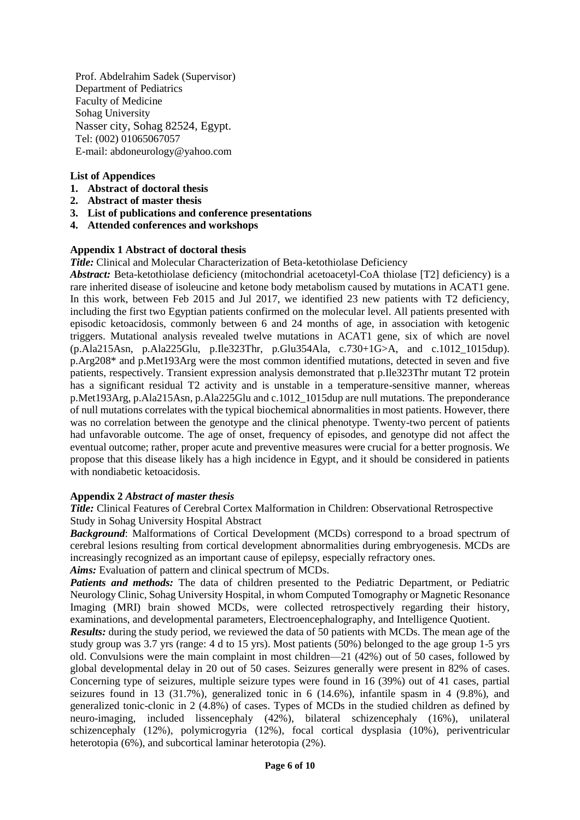Prof. Abdelrahim Sadek (Supervisor) Department of Pediatrics Faculty of Medicine Sohag University Nasser city, Sohag 82524, Egypt. Tel: (002) 01065067057 E-mail: abdoneurology@yahoo.com

## **List of Appendices**

- **1. Abstract of doctoral thesis**
- **2. Abstract of master thesis**
- **3. List of publications and conference presentations**
- **4. Attended conferences and workshops**

## **Appendix 1 Abstract of doctoral thesis**

*Title:* Clinical and Molecular Characterization of Beta-ketothiolase Deficiency

*Abstract:* Beta-ketothiolase deficiency (mitochondrial acetoacetyl-CoA thiolase [T2] deficiency) is a rare inherited disease of isoleucine and ketone body metabolism caused by mutations in ACAT1 gene. In this work, between Feb 2015 and Jul 2017, we identified 23 new patients with T2 deficiency, including the first two Egyptian patients confirmed on the molecular level. All patients presented with episodic ketoacidosis, commonly between 6 and 24 months of age, in association with ketogenic triggers. Mutational analysis revealed twelve mutations in ACAT1 gene, six of which are novel (p.Ala215Asn, p.Ala225Glu, p.Ile323Thr, p.Glu354Ala, c.730+1G>A, and c.1012\_1015dup). p.Arg208\* and p.Met193Arg were the most common identified mutations, detected in seven and five patients, respectively. Transient expression analysis demonstrated that p.Ile323Thr mutant T2 protein has a significant residual T2 activity and is unstable in a temperature-sensitive manner, whereas p.Met193Arg, p.Ala215Asn, p.Ala225Glu and c.1012\_1015dup are null mutations. The preponderance of null mutations correlates with the typical biochemical abnormalities in most patients. However, there was no correlation between the genotype and the clinical phenotype. Twenty-two percent of patients had unfavorable outcome. The age of onset, frequency of episodes, and genotype did not affect the eventual outcome; rather, proper acute and preventive measures were crucial for a better prognosis. We propose that this disease likely has a high incidence in Egypt, and it should be considered in patients with nondiabetic ketoacidosis.

## **Appendix 2** *Abstract of master thesis*

*Title:* Clinical Features of Cerebral Cortex Malformation in Children: Observational Retrospective Study in Sohag University Hospital Abstract

*Background*: Malformations of Cortical Development (MCDs) correspond to a broad spectrum of cerebral lesions resulting from cortical development abnormalities during embryogenesis. MCDs are increasingly recognized as an important cause of epilepsy, especially refractory ones.

*Aims:* Evaluation of pattern and clinical spectrum of MCDs.

*Patients and methods:* The data of children presented to the Pediatric Department, or Pediatric Neurology Clinic, Sohag University Hospital, in whom Computed Tomography or Magnetic Resonance Imaging (MRI) brain showed MCDs, were collected retrospectively regarding their history, examinations, and developmental parameters, Electroencephalography, and Intelligence Quotient.

*Results:* during the study period, we reviewed the data of 50 patients with MCDs. The mean age of the study group was 3.7 yrs (range: 4 d to 15 yrs). Most patients (50%) belonged to the age group 1-5 yrs old. Convulsions were the main complaint in most children—21 (42%) out of 50 cases, followed by global developmental delay in 20 out of 50 cases. Seizures generally were present in 82% of cases. Concerning type of seizures, multiple seizure types were found in 16 (39%) out of 41 cases, partial seizures found in 13 (31.7%), generalized tonic in 6 (14.6%), infantile spasm in 4 (9.8%), and generalized tonic-clonic in 2 (4.8%) of cases. Types of MCDs in the studied children as defined by neuro-imaging, included lissencephaly (42%), bilateral schizencephaly (16%), unilateral schizencephaly (12%), polymicrogyria (12%), focal cortical dysplasia (10%), periventricular heterotopia (6%), and subcortical laminar heterotopia (2%).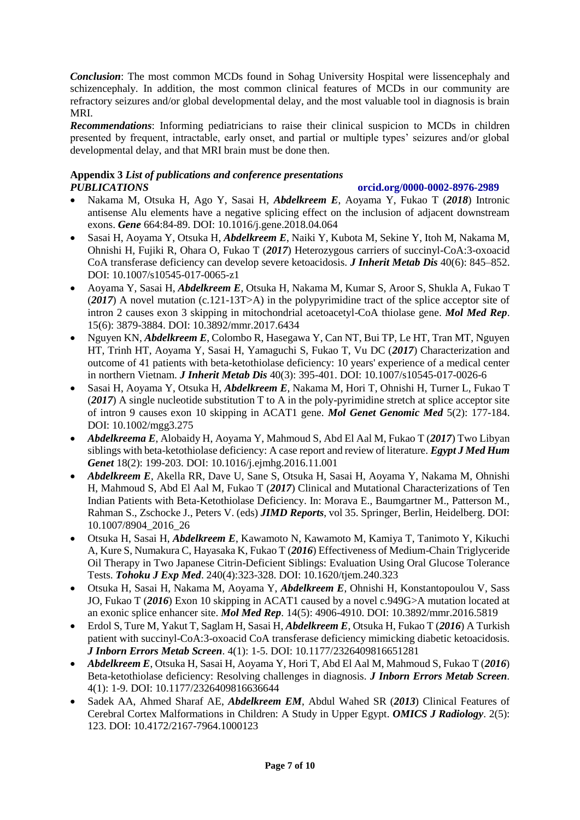*Conclusion*: The most common MCDs found in Sohag University Hospital were lissencephaly and schizencephaly. In addition, the most common clinical features of MCDs in our community are refractory seizures and/or global developmental delay, and the most valuable tool in diagnosis is brain MRI.

*Recommendations*: Informing pediatricians to raise their clinical suspicion to MCDs in children presented by frequent, intractable, early onset, and partial or multiple types' seizures and/or global developmental delay, and that MRI brain must be done then.

## **Appendix 3** *List of publications and conference presentations PUBLICATIONS* **orcid.org/0000-0002-8976-2989**

- Nakama M, Otsuka H, Ago Y, Sasai H, *Abdelkreem E*, Aoyama Y, Fukao T (*2018*) Intronic antisense Alu elements have a negative splicing effect on the inclusion of adjacent downstream exons. *Gene* 664:84-89. DOI: 10.1016/j.gene.2018.04.064
- Sasai H, Aoyama Y, Otsuka H, *Abdelkreem E*, Naiki Y, Kubota M, Sekine Y, Itoh M, Nakama M, Ohnishi H, Fujiki R, Ohara O, Fukao T (*2017*) Heterozygous carriers of succinyl-CoA:3-oxoacid CoA transferase deficiency can develop severe ketoacidosis. *J Inherit Metab Dis* 40(6): 845–852. DOI: 10.1007/s10545-017-0065-z1
- Aoyama Y, Sasai H, *Abdelkreem E*, Otsuka H, Nakama M, Kumar S, Aroor S, Shukla A, Fukao T (*2017*) A novel mutation (c.121-13T>A) in the polypyrimidine tract of the splice acceptor site of intron 2 causes exon 3 skipping in mitochondrial acetoacetyl-CoA thiolase gene. *Mol Med Rep*. 15(6): 3879-3884. DOI: 10.3892/mmr.2017.6434
- Nguyen KN, *Abdelkreem E*, Colombo R, Hasegawa Y, Can NT, Bui TP, Le HT, Tran MT, Nguyen HT, Trinh HT, Aoyama Y, Sasai H, Yamaguchi S, Fukao T, Vu DC (*2017*) Characterization and outcome of 41 patients with beta-ketothiolase deficiency: 10 years' experience of a medical center in northern Vietnam. *J Inherit Metab Dis* 40(3): 395-401. DOI: 10.1007/s10545-017-0026-6
- Sasai H, Aoyama Y, Otsuka H, *Abdelkreem E*, Nakama M, Hori T, Ohnishi H, Turner L, Fukao T (*2017*) A single nucleotide substitution T to A in the poly-pyrimidine stretch at splice acceptor site of intron 9 causes exon 10 skipping in ACAT1 gene. *Mol Genet Genomic Med* 5(2): 177-184. DOI: 10.1002/mgg3.275
- *Abdelkreema E*, Alobaidy H, Aoyama Y, Mahmoud S, Abd El Aal M, Fukao T (*2017*) Two Libyan siblings with beta-ketothiolase deficiency: A case report and review of literature. *Egypt J Med Hum Genet* 18(2): 199-203. DOI: 10.1016/j.ejmhg.2016.11.001
- *Abdelkreem E*, Akella RR, Dave U, Sane S, Otsuka H, Sasai H, Aoyama Y, Nakama M, Ohnishi H, Mahmoud S, Abd El Aal M, Fukao T (*2017*) Clinical and Mutational Characterizations of Ten Indian Patients with Beta-Ketothiolase Deficiency. In: Morava E., Baumgartner M., Patterson M., Rahman S., Zschocke J., Peters V. (eds) *JIMD Reports*, vol 35. Springer, Berlin, Heidelberg. DOI: 10.1007/8904\_2016\_26
- Otsuka H, Sasai H, *Abdelkreem E*, Kawamoto N, Kawamoto M, Kamiya T, Tanimoto Y, Kikuchi A, Kure S, Numakura C, Hayasaka K, Fukao T (*2016*) Effectiveness of Medium-Chain Triglyceride Oil Therapy in Two Japanese Citrin-Deficient Siblings: Evaluation Using Oral Glucose Tolerance Tests. *Tohoku J Exp Med*. 240(4):323-328. DOI: 10.1620/tjem.240.323
- Otsuka H, Sasai H, Nakama M, Aoyama Y, *Abdelkreem E*, Ohnishi H, Konstantopoulou V, Sass JO, Fukao T (*2016*) Exon 10 skipping in ACAT1 caused by a novel c.949G>A mutation located at an exonic splice enhancer site. *Mol Med Rep*. 14(5): 4906-4910. DOI: 10.3892/mmr.2016.5819
- Erdol S, Ture M, Yakut T, Saglam H, Sasai H, *Abdelkreem E*, Otsuka H, Fukao T (*2016*) A Turkish patient with succinyl-CoA:3-oxoacid CoA transferase deficiency mimicking diabetic ketoacidosis. *J Inborn Errors Metab Screen*. 4(1): 1-5. DOI: 10.1177/2326409816651281
- *Abdelkreem E*, Otsuka H, Sasai H, Aoyama Y, Hori T, Abd El Aal M, Mahmoud S, Fukao T (*2016*) Beta-ketothiolase deficiency: Resolving challenges in diagnosis. *J Inborn Errors Metab Screen.* 4(1): 1-9. DOI: 10.1177/2326409816636644
- Sadek AA, Ahmed Sharaf AE, *Abdelkreem EM*, Abdul Wahed SR (*2013*) Clinical Features of Cerebral Cortex Malformations in Children: A Study in Upper Egypt. *OMICS J Radiology*. 2(5): 123. DOI: 10.4172/2167-7964.1000123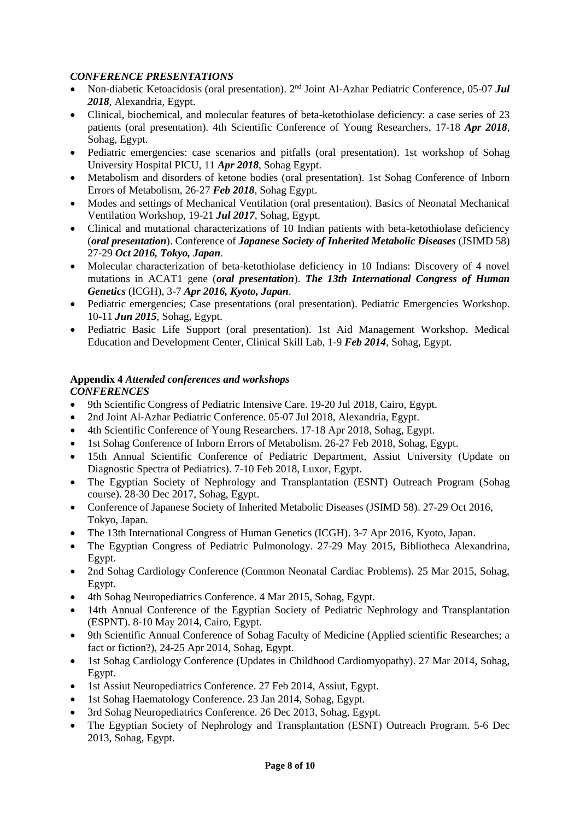## *CONFERENCE PRESENTATIONS*

- Non-diabetic Ketoacidosis (oral presentation). 2nd Joint Al-Azhar Pediatric Conference, 05-07 *Jul 2018*, Alexandria, Egypt.
- Clinical, biochemical, and molecular features of beta-ketothiolase deficiency: a case series of 23 patients (oral presentation). 4th Scientific Conference of Young Researchers, 17-18 *Apr 2018*, Sohag, Egypt.
- Pediatric emergencies: case scenarios and pitfalls (oral presentation). 1st workshop of Sohag University Hospital PICU, 11 *Apr 2018*, Sohag Egypt.
- Metabolism and disorders of ketone bodies (oral presentation). 1st Sohag Conference of Inborn Errors of Metabolism, 26-27 *Feb 2018*, Sohag Egypt.
- Modes and settings of Mechanical Ventilation (oral presentation). Basics of Neonatal Mechanical Ventilation Workshop, 19-21 *Jul 2017*, Sohag, Egypt.
- Clinical and mutational characterizations of 10 Indian patients with beta-ketothiolase deficiency (*oral presentation*). Conference of *Japanese Society of Inherited Metabolic Diseases* (JSIMD 58) 27-29 *Oct 2016, Tokyo, Japan*.
- Molecular characterization of beta-ketothiolase deficiency in 10 Indians: Discovery of 4 novel mutations in ACAT1 gene (*oral presentation*). *The 13th International Congress of Human Genetics* (ICGH), 3-7 *Apr 2016, Kyoto, Japan*.
- Pediatric emergencies; Case presentations (oral presentation). Pediatric Emergencies Workshop. 10-11 *Jun 2015*, Sohag, Egypt.
- Pediatric Basic Life Support (oral presentation). 1st Aid Management Workshop. Medical Education and Development Center, Clinical Skill Lab, 1-9 *Feb 2014*, Sohag, Egypt.

#### **Appendix 4** *Attended conferences and workshops CONFERENCES*

- 9th Scientific Congress of Pediatric Intensive Care. 19-20 Jul 2018, Cairo, Egypt.
- 2nd Joint Al-Azhar Pediatric Conference. 05-07 Jul 2018, Alexandria, Egypt.
- 4th Scientific Conference of Young Researchers. 17-18 Apr 2018, Sohag, Egypt.
- 1st Sohag Conference of Inborn Errors of Metabolism. 26-27 Feb 2018, Sohag, Egypt.
- 15th Annual Scientific Conference of Pediatric Department, Assiut University (Update on Diagnostic Spectra of Pediatrics). 7-10 Feb 2018, Luxor, Egypt.
- The Egyptian Society of Nephrology and Transplantation (ESNT) Outreach Program (Sohag course). 28-30 Dec 2017, Sohag, Egypt.
- Conference of Japanese Society of Inherited Metabolic Diseases (JSIMD 58). 27-29 Oct 2016, Tokyo, Japan.
- The 13th International Congress of Human Genetics (ICGH). 3-7 Apr 2016, Kyoto, Japan.
- The Egyptian Congress of Pediatric Pulmonology. 27-29 May 2015, Bibliotheca Alexandrina, Egypt.
- 2nd Sohag Cardiology Conference (Common Neonatal Cardiac Problems). 25 Mar 2015, Sohag, Egypt.
- 4th Sohag Neuropediatrics Conference. 4 Mar 2015, Sohag, Egypt.
- 14th Annual Conference of the Egyptian Society of Pediatric Nephrology and Transplantation (ESPNT). 8-10 May 2014, Cairo, Egypt.
- 9th Scientific Annual Conference of Sohag Faculty of Medicine (Applied scientific Researches; a fact or fiction?), 24-25 Apr 2014, Sohag, Egypt.
- 1st Sohag Cardiology Conference (Updates in Childhood Cardiomyopathy). 27 Mar 2014, Sohag, Egypt.
- 1st Assiut Neuropediatrics Conference. 27 Feb 2014, Assiut, Egypt.
- 1st Sohag Haematology Conference. 23 Jan 2014, Sohag, Egypt.
- 3rd Sohag Neuropediatrics Conference. 26 Dec 2013, Sohag, Egypt.
- The Egyptian Society of Nephrology and Transplantation (ESNT) Outreach Program. 5-6 Dec 2013, Sohag, Egypt.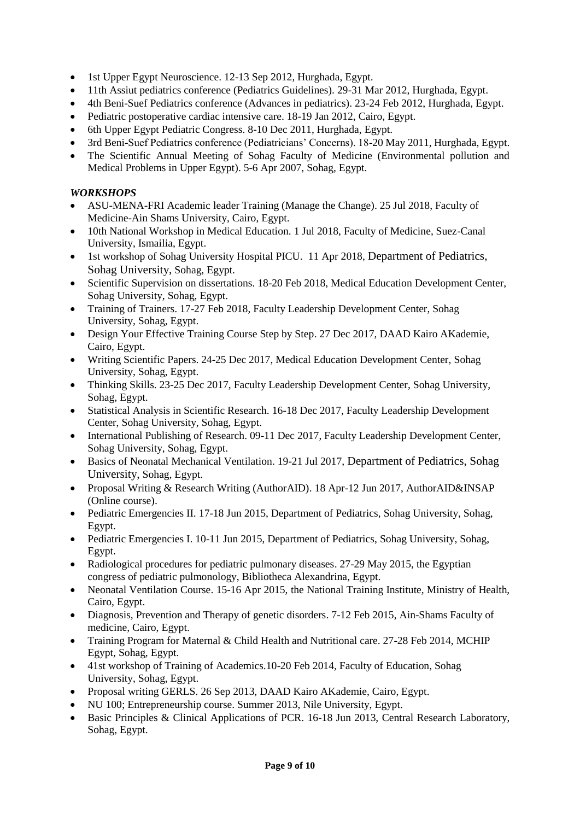- 1st Upper Egypt Neuroscience. 12-13 Sep 2012, Hurghada, Egypt.
- 11th Assiut pediatrics conference (Pediatrics Guidelines). 29-31 Mar 2012, Hurghada, Egypt.
- 4th Beni-Suef Pediatrics conference (Advances in pediatrics). 23-24 Feb 2012, Hurghada, Egypt.
- Pediatric postoperative cardiac intensive care. 18-19 Jan 2012, Cairo, Egypt.
- 6th Upper Egypt Pediatric Congress. 8-10 Dec 2011, Hurghada, Egypt.
- 3rd Beni-Suef Pediatrics conference (Pediatricians' Concerns). 18-20 May 2011, Hurghada, Egypt.
- The Scientific Annual Meeting of Sohag Faculty of Medicine (Environmental pollution and Medical Problems in Upper Egypt). 5-6 Apr 2007, Sohag, Egypt.

## *WORKSHOPS*

- ASU-MENA-FRI Academic leader Training (Manage the Change). 25 Jul 2018, Faculty of Medicine-Ain Shams University, Cairo, Egypt.
- 10th National Workshop in Medical Education. 1 Jul 2018, Faculty of Medicine, Suez-Canal University, Ismailia, Egypt.
- 1st workshop of Sohag University Hospital PICU. 11 Apr 2018, Department of Pediatrics, Sohag University, Sohag, Egypt.
- Scientific Supervision on dissertations. 18-20 Feb 2018, Medical Education Development Center, Sohag University, Sohag, Egypt.
- Training of Trainers. 17-27 Feb 2018, Faculty Leadership Development Center, Sohag University, Sohag, Egypt.
- Design Your Effective Training Course Step by Step. 27 Dec 2017, DAAD Kairo AKademie, Cairo, Egypt.
- Writing Scientific Papers. 24-25 Dec 2017, Medical Education Development Center, Sohag University, Sohag, Egypt.
- Thinking Skills. 23-25 Dec 2017, Faculty Leadership Development Center, Sohag University, Sohag, Egypt.
- Statistical Analysis in Scientific Research. 16-18 Dec 2017, Faculty Leadership Development Center, Sohag University, Sohag, Egypt.
- International Publishing of Research. 09-11 Dec 2017, Faculty Leadership Development Center, Sohag University, Sohag, Egypt.
- Basics of Neonatal Mechanical Ventilation. 19-21 Jul 2017, Department of Pediatrics, Sohag University, Sohag, Egypt.
- Proposal Writing & Research Writing (AuthorAID). 18 Apr-12 Jun 2017, AuthorAID&INSAP (Online course).
- Pediatric Emergencies II. 17-18 Jun 2015, Department of Pediatrics, Sohag University, Sohag, Egypt.
- Pediatric Emergencies I. 10-11 Jun 2015, Department of Pediatrics, Sohag University, Sohag, Egypt.
- Radiological procedures for pediatric pulmonary diseases. 27-29 May 2015, the Egyptian congress of pediatric pulmonology, Bibliotheca Alexandrina, Egypt.
- Neonatal Ventilation Course. 15-16 Apr 2015, the National Training Institute, Ministry of Health, Cairo, Egypt.
- Diagnosis, Prevention and Therapy of genetic disorders. 7-12 Feb 2015, Ain-Shams Faculty of medicine, Cairo, Egypt.
- Training Program for Maternal & Child Health and Nutritional care. 27-28 Feb 2014, MCHIP Egypt, Sohag, Egypt.
- 41st workshop of Training of Academics.10-20 Feb 2014, Faculty of Education, Sohag University, Sohag, Egypt.
- Proposal writing GERLS. 26 Sep 2013, DAAD Kairo AKademie, Cairo, Egypt.
- NU 100; Entrepreneurship course. Summer 2013, Nile University, Egypt.
- Basic Principles & Clinical Applications of PCR. 16-18 Jun 2013, Central Research Laboratory, Sohag, Egypt.